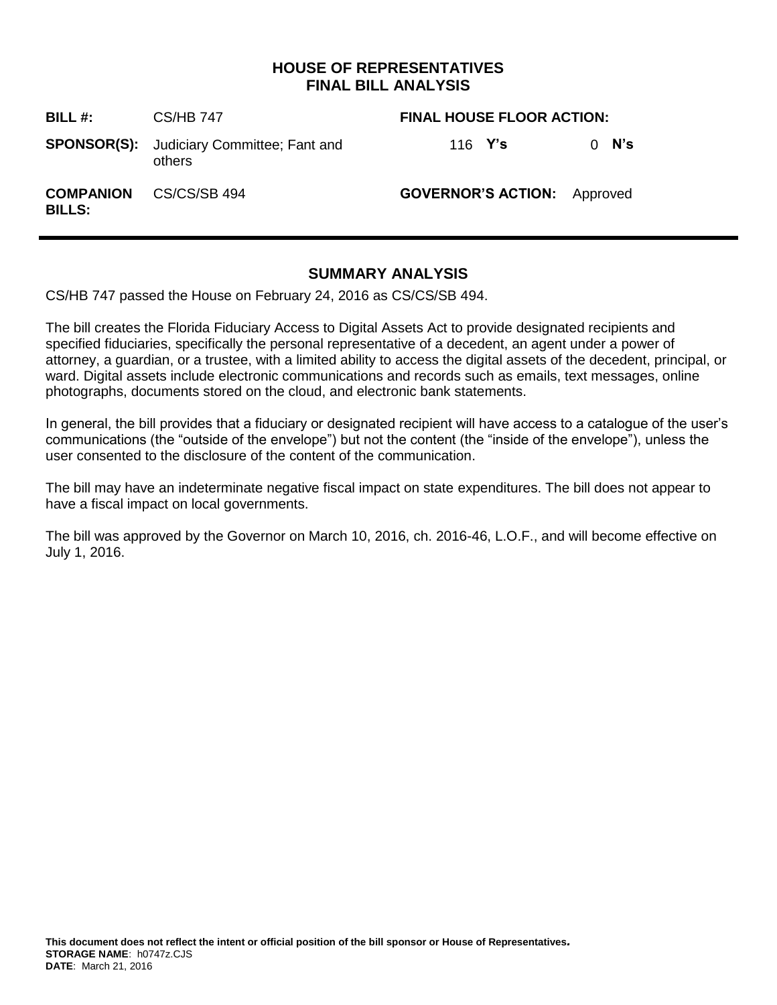# **HOUSE OF REPRESENTATIVES FINAL BILL ANALYSIS**

| <b>BILL#:</b> | <b>CS/HB 747</b>                                           | <b>FINAL HOUSE FLOOR ACTION:</b>   |         |  |
|---------------|------------------------------------------------------------|------------------------------------|---------|--|
|               | <b>SPONSOR(S):</b> Judiciary Committee; Fant and<br>others | 116 <b>Y's</b>                     | $0$ N's |  |
| <b>BILLS:</b> | <b>COMPANION</b> CS/CS/SB 494                              | <b>GOVERNOR'S ACTION:</b> Approved |         |  |

# **SUMMARY ANALYSIS**

CS/HB 747 passed the House on February 24, 2016 as CS/CS/SB 494.

The bill creates the Florida Fiduciary Access to Digital Assets Act to provide designated recipients and specified fiduciaries, specifically the personal representative of a decedent, an agent under a power of attorney, a guardian, or a trustee, with a limited ability to access the digital assets of the decedent, principal, or ward. Digital assets include electronic communications and records such as emails, text messages, online photographs, documents stored on the cloud, and electronic bank statements.

In general, the bill provides that a fiduciary or designated recipient will have access to a catalogue of the user's communications (the "outside of the envelope") but not the content (the "inside of the envelope"), unless the user consented to the disclosure of the content of the communication.

The bill may have an indeterminate negative fiscal impact on state expenditures. The bill does not appear to have a fiscal impact on local governments.

The bill was approved by the Governor on March 10, 2016, ch. 2016-46, L.O.F., and will become effective on July 1, 2016.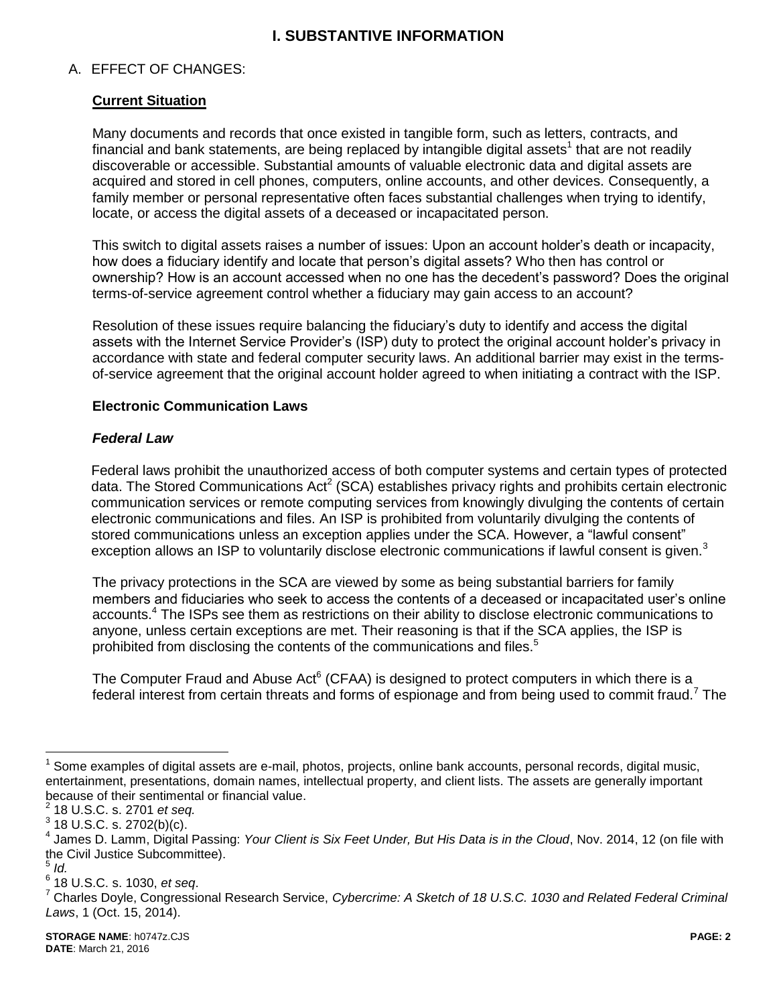# **I. SUBSTANTIVE INFORMATION**

## A. EFFECT OF CHANGES:

## **Current Situation**

Many documents and records that once existed in tangible form, such as letters, contracts, and financial and bank statements, are being replaced by intangible digital assets<sup>1</sup> that are not readily discoverable or accessible. Substantial amounts of valuable electronic data and digital assets are acquired and stored in cell phones, computers, online accounts, and other devices. Consequently, a family member or personal representative often faces substantial challenges when trying to identify, locate, or access the digital assets of a deceased or incapacitated person.

This switch to digital assets raises a number of issues: Upon an account holder's death or incapacity, how does a fiduciary identify and locate that person's digital assets? Who then has control or ownership? How is an account accessed when no one has the decedent's password? Does the original terms-of-service agreement control whether a fiduciary may gain access to an account?

Resolution of these issues require balancing the fiduciary's duty to identify and access the digital assets with the Internet Service Provider's (ISP) duty to protect the original account holder's privacy in accordance with state and federal computer security laws. An additional barrier may exist in the termsof-service agreement that the original account holder agreed to when initiating a contract with the ISP.

#### **Electronic Communication Laws**

### *Federal Law*

Federal laws prohibit the unauthorized access of both computer systems and certain types of protected data. The Stored Communications Act<sup>2</sup> (SCA) establishes privacy rights and prohibits certain electronic communication services or remote computing services from knowingly divulging the contents of certain electronic communications and files. An ISP is prohibited from voluntarily divulging the contents of stored communications unless an exception applies under the SCA. However, a "lawful consent" exception allows an ISP to voluntarily disclose electronic communications if lawful consent is given.<sup>3</sup>

The privacy protections in the SCA are viewed by some as being substantial barriers for family members and fiduciaries who seek to access the contents of a deceased or incapacitated user's online accounts.<sup>4</sup> The ISPs see them as restrictions on their ability to disclose electronic communications to anyone, unless certain exceptions are met. Their reasoning is that if the SCA applies, the ISP is prohibited from disclosing the contents of the communications and files.<sup>5</sup>

The Computer Fraud and Abuse Act<sup>6</sup> (CFAA) is designed to protect computers in which there is a federal interest from certain threats and forms of espionage and from being used to commit fraud.<sup>7</sup> The

<sup>1</sup> Some examples of digital assets are e-mail, photos, projects, online bank accounts, personal records, digital music, entertainment, presentations, domain names, intellectual property, and client lists. The assets are generally important because of their sentimental or financial value.

<sup>2</sup> 18 U.S.C. s. 2701 *et seq.*

 $^3$  18 U.S.C. s. 2702(b)(c).

<sup>4</sup> James D. Lamm, Digital Passing: *Your Client is Six Feet Under, But His Data is in the Cloud*, Nov. 2014, 12 (on file with the Civil Justice Subcommittee).

<sup>5</sup> *Id.*

<sup>6</sup> 18 U.S.C. s. 1030, *et seq*.

<sup>7</sup> Charles Doyle, Congressional Research Service, *Cybercrime: A Sketch of 18 U.S.C. 1030 and Related Federal Criminal Laws*, 1 (Oct. 15, 2014).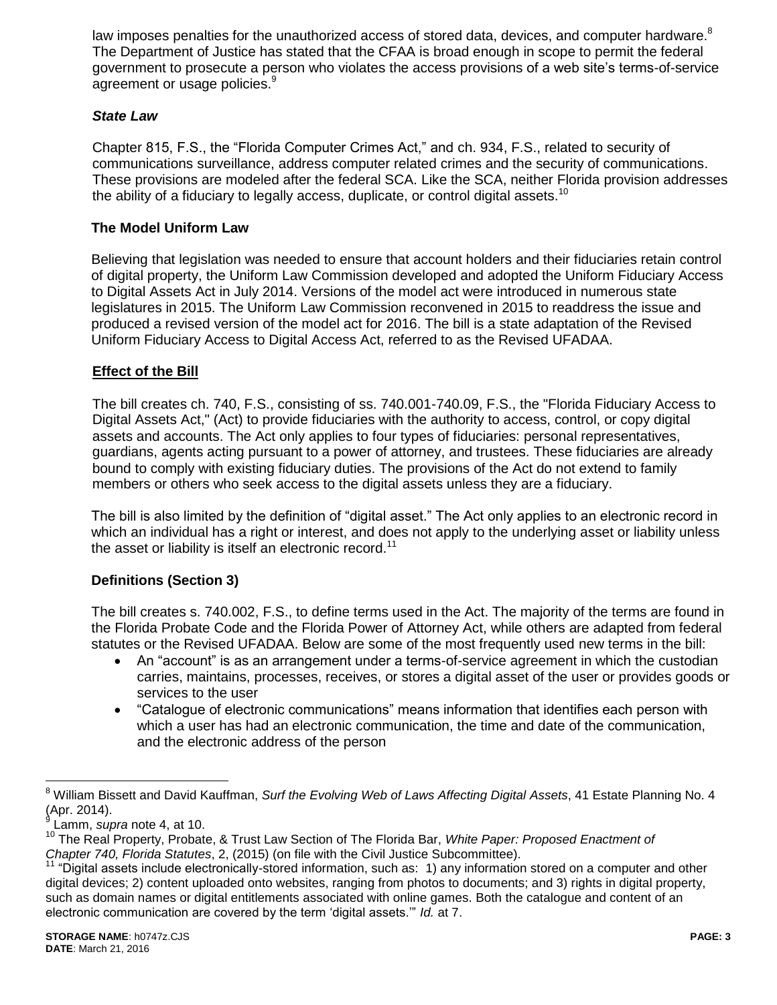law imposes penalties for the unauthorized access of stored data, devices, and computer hardware.<sup>8</sup> The Department of Justice has stated that the CFAA is broad enough in scope to permit the federal government to prosecute a person who violates the access provisions of a web site's terms-of-service agreement or usage policies.<sup>9</sup>

## *State Law*

Chapter 815, F.S., the "Florida Computer Crimes Act," and ch. 934, F.S., related to security of communications surveillance, address computer related crimes and the security of communications. These provisions are modeled after the federal SCA. Like the SCA, neither Florida provision addresses the ability of a fiduciary to legally access, duplicate, or control digital assets.<sup>10</sup>

## **The Model Uniform Law**

Believing that legislation was needed to ensure that account holders and their fiduciaries retain control of digital property, the Uniform Law Commission developed and adopted the Uniform Fiduciary Access to Digital Assets Act in July 2014. Versions of the model act were introduced in numerous state legislatures in 2015. The Uniform Law Commission reconvened in 2015 to readdress the issue and produced a revised version of the model act for 2016. The bill is a state adaptation of the Revised Uniform Fiduciary Access to Digital Access Act, referred to as the Revised UFADAA.

# **Effect of the Bill**

The bill creates ch. 740, F.S., consisting of ss. 740.001-740.09, F.S., the "Florida Fiduciary Access to Digital Assets Act," (Act) to provide fiduciaries with the authority to access, control, or copy digital assets and accounts. The Act only applies to four types of fiduciaries: personal representatives, guardians, agents acting pursuant to a power of attorney, and trustees. These fiduciaries are already bound to comply with existing fiduciary duties. The provisions of the Act do not extend to family members or others who seek access to the digital assets unless they are a fiduciary.

The bill is also limited by the definition of "digital asset." The Act only applies to an electronic record in which an individual has a right or interest, and does not apply to the underlying asset or liability unless the asset or liability is itself an electronic record.<sup>11</sup>

### **Definitions (Section 3)**

The bill creates s. 740.002, F.S., to define terms used in the Act. The majority of the terms are found in the Florida Probate Code and the Florida Power of Attorney Act, while others are adapted from federal statutes or the Revised UFADAA. Below are some of the most frequently used new terms in the bill:

- An "account" is as an arrangement under a terms-of-service agreement in which the custodian carries, maintains, processes, receives, or stores a digital asset of the user or provides goods or services to the user
- "Catalogue of electronic communications" means information that identifies each person with which a user has had an electronic communication, the time and date of the communication, and the electronic address of the person

<sup>8</sup> William Bissett and David Kauffman, *Surf the Evolving Web of Laws Affecting Digital Assets*, 41 Estate Planning No. 4 (Apr. 2014).<br><sup>9</sup> Lomm. au

Lamm, *supra* note 4, at 10.

<sup>10</sup> The Real Property, Probate, & Trust Law Section of The Florida Bar, *White Paper: Proposed Enactment of Chapter 740, Florida Statutes*, 2, (2015) (on file with the Civil Justice Subcommittee).

 $11$  "Digital assets include electronically-stored information, such as: 1) any information stored on a computer and other digital devices; 2) content uploaded onto websites, ranging from photos to documents; and 3) rights in digital property, such as domain names or digital entitlements associated with online games. Both the catalogue and content of an electronic communication are covered by the term 'digital assets.'" *Id.* at 7.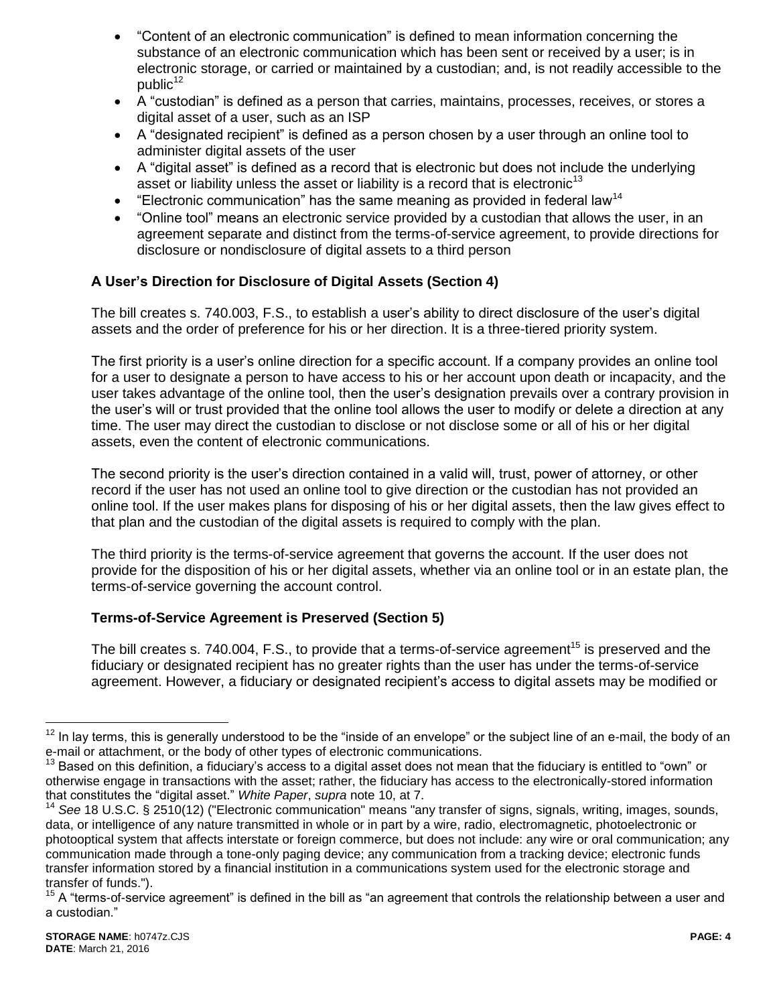- "Content of an electronic communication" is defined to mean information concerning the substance of an electronic communication which has been sent or received by a user; is in electronic storage, or carried or maintained by a custodian; and, is not readily accessible to the  $public<sup>12</sup>$
- A "custodian" is defined as a person that carries, maintains, processes, receives, or stores a digital asset of a user, such as an ISP
- A "designated recipient" is defined as a person chosen by a user through an online tool to administer digital assets of the user
- A "digital asset" is defined as a record that is electronic but does not include the underlying asset or liability unless the asset or liability is a record that is electronic<sup>13</sup>
- **•** "Electronic communication" has the same meaning as provided in federal law<sup>14</sup>
- "Online tool" means an electronic service provided by a custodian that allows the user, in an agreement separate and distinct from the terms-of-service agreement, to provide directions for disclosure or nondisclosure of digital assets to a third person

# **A User's Direction for Disclosure of Digital Assets (Section 4)**

The bill creates s. 740.003, F.S., to establish a user's ability to direct disclosure of the user's digital assets and the order of preference for his or her direction. It is a three-tiered priority system.

The first priority is a user's online direction for a specific account. If a company provides an online tool for a user to designate a person to have access to his or her account upon death or incapacity, and the user takes advantage of the online tool, then the user's designation prevails over a contrary provision in the user's will or trust provided that the online tool allows the user to modify or delete a direction at any time. The user may direct the custodian to disclose or not disclose some or all of his or her digital assets, even the content of electronic communications.

The second priority is the user's direction contained in a valid will, trust, power of attorney, or other record if the user has not used an online tool to give direction or the custodian has not provided an online tool. If the user makes plans for disposing of his or her digital assets, then the law gives effect to that plan and the custodian of the digital assets is required to comply with the plan.

The third priority is the terms-of-service agreement that governs the account. If the user does not provide for the disposition of his or her digital assets, whether via an online tool or in an estate plan, the terms-of-service governing the account control.

# **Terms-of-Service Agreement is Preserved (Section 5)**

The bill creates s. 740.004, F.S., to provide that a terms-of-service agreement<sup>15</sup> is preserved and the fiduciary or designated recipient has no greater rights than the user has under the terms-of-service agreement. However, a fiduciary or designated recipient's access to digital assets may be modified or

<sup>&</sup>lt;sup>12</sup> In lav terms, this is generally understood to be the "inside of an envelope" or the subject line of an e-mail, the body of an e-mail or attachment, or the body of other types of electronic communications.

<sup>13</sup> Based on this definition, a fiduciary's access to a digital asset does not mean that the fiduciary is entitled to "own" or otherwise engage in transactions with the asset; rather, the fiduciary has access to the electronically-stored information that constitutes the "digital asset." *White Paper*, *supra* note 10, at 7.

<sup>14</sup> *See* 18 U.S.C. § 2510(12) ("Electronic communication" means "any transfer of signs, signals, writing, images, sounds, data, or intelligence of any nature transmitted in whole or in part by a wire, radio, electromagnetic, photoelectronic or photooptical system that affects interstate or foreign commerce, but does not include: any wire or oral communication; any communication made through a tone-only paging device; any communication from a tracking device; electronic funds transfer information stored by a financial institution in a communications system used for the electronic storage and transfer of funds.").

<sup>15</sup> A "terms-of-service agreement" is defined in the bill as "an agreement that controls the relationship between a user and a custodian."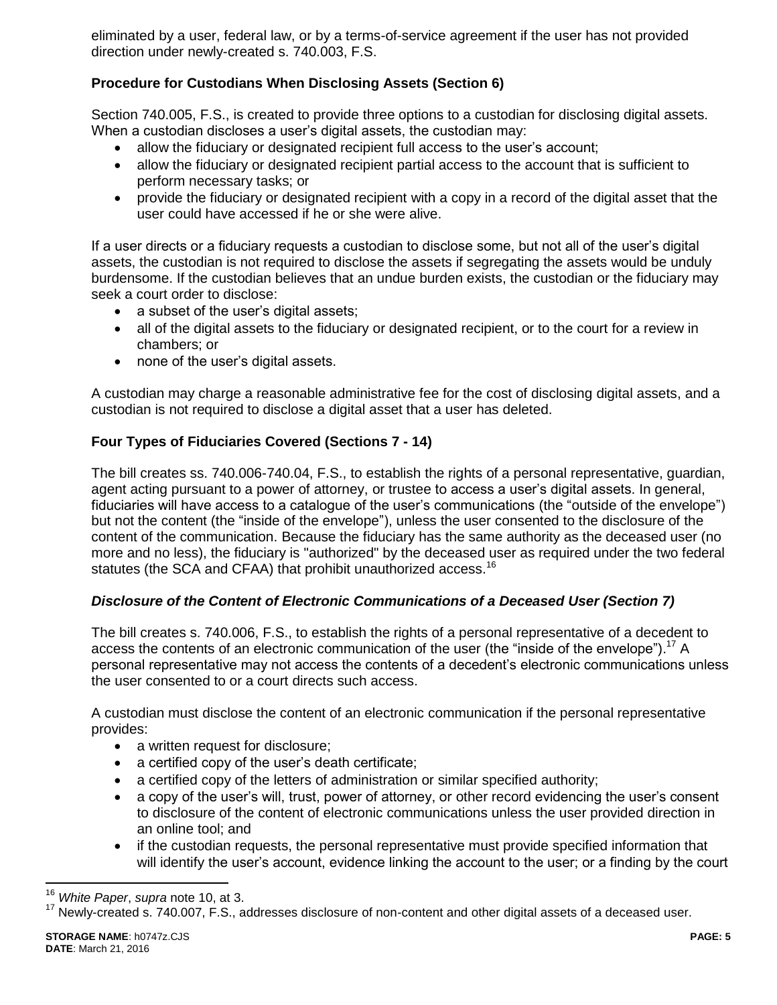eliminated by a user, federal law, or by a terms-of-service agreement if the user has not provided direction under newly-created s. 740.003, F.S.

# **Procedure for Custodians When Disclosing Assets (Section 6)**

Section 740.005, F.S., is created to provide three options to a custodian for disclosing digital assets. When a custodian discloses a user's digital assets, the custodian may:

- allow the fiduciary or designated recipient full access to the user's account;
- allow the fiduciary or designated recipient partial access to the account that is sufficient to perform necessary tasks; or
- provide the fiduciary or designated recipient with a copy in a record of the digital asset that the user could have accessed if he or she were alive.

If a user directs or a fiduciary requests a custodian to disclose some, but not all of the user's digital assets, the custodian is not required to disclose the assets if segregating the assets would be unduly burdensome. If the custodian believes that an undue burden exists, the custodian or the fiduciary may seek a court order to disclose:

- a subset of the user's digital assets;
- all of the digital assets to the fiduciary or designated recipient, or to the court for a review in chambers; or
- none of the user's digital assets.

A custodian may charge a reasonable administrative fee for the cost of disclosing digital assets, and a custodian is not required to disclose a digital asset that a user has deleted.

## **Four Types of Fiduciaries Covered (Sections 7 - 14)**

The bill creates ss. 740.006-740.04, F.S., to establish the rights of a personal representative, guardian, agent acting pursuant to a power of attorney, or trustee to access a user's digital assets. In general, fiduciaries will have access to a catalogue of the user's communications (the "outside of the envelope") but not the content (the "inside of the envelope"), unless the user consented to the disclosure of the content of the communication. Because the fiduciary has the same authority as the deceased user (no more and no less), the fiduciary is "authorized" by the deceased user as required under the two federal statutes (the SCA and CFAA) that prohibit unauthorized access.<sup>16</sup>

# *Disclosure of the Content of Electronic Communications of a Deceased User (Section 7)*

The bill creates s. 740.006, F.S., to establish the rights of a personal representative of a decedent to access the contents of an electronic communication of the user (the "inside of the envelope").<sup>17</sup> A personal representative may not access the contents of a decedent's electronic communications unless the user consented to or a court directs such access.

A custodian must disclose the content of an electronic communication if the personal representative provides:

- a written request for disclosure;
- a certified copy of the user's death certificate;
- a certified copy of the letters of administration or similar specified authority;
- a copy of the user's will, trust, power of attorney, or other record evidencing the user's consent to disclosure of the content of electronic communications unless the user provided direction in an online tool; and
- if the custodian requests, the personal representative must provide specified information that will identify the user's account, evidence linking the account to the user; or a finding by the court

<sup>16</sup> *White Paper*, *supra* note 10, at 3.

 $17$  Newly-created s. 740.007, F.S., addresses disclosure of non-content and other digital assets of a deceased user.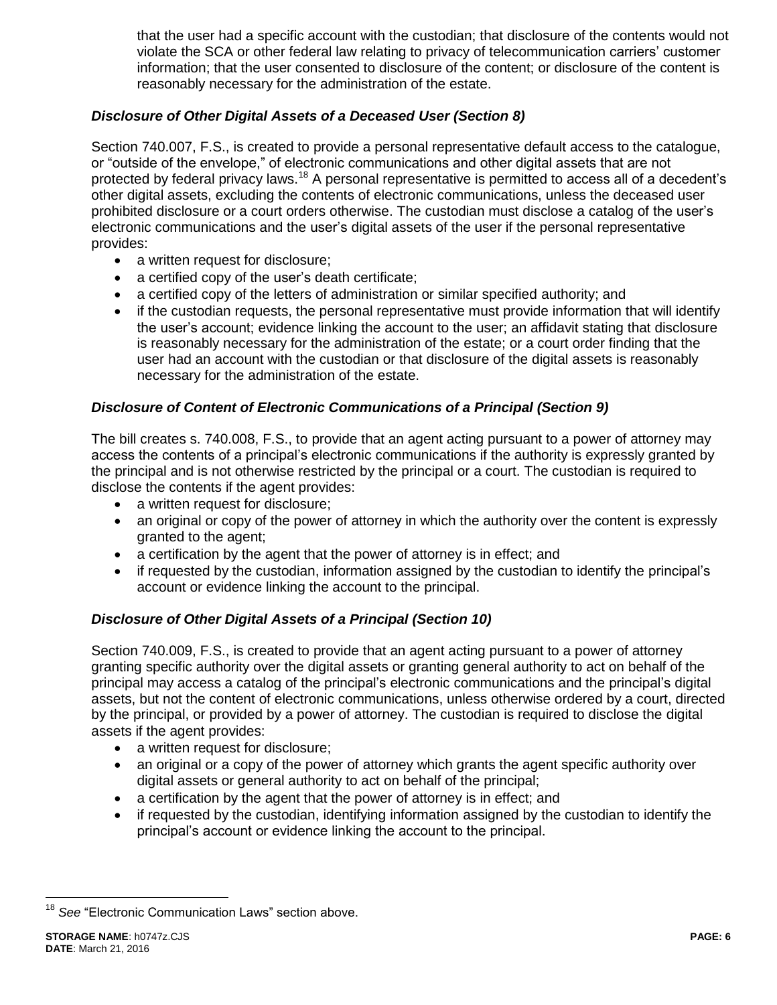that the user had a specific account with the custodian; that disclosure of the contents would not violate the SCA or other federal law relating to privacy of telecommunication carriers' customer information; that the user consented to disclosure of the content; or disclosure of the content is reasonably necessary for the administration of the estate.

# *Disclosure of Other Digital Assets of a Deceased User (Section 8)*

Section 740.007, F.S., is created to provide a personal representative default access to the catalogue, or "outside of the envelope," of electronic communications and other digital assets that are not protected by federal privacy laws.<sup>18</sup> A personal representative is permitted to access all of a decedent's other digital assets, excluding the contents of electronic communications, unless the deceased user prohibited disclosure or a court orders otherwise. The custodian must disclose a catalog of the user's electronic communications and the user's digital assets of the user if the personal representative provides:

- a written request for disclosure;
- a certified copy of the user's death certificate;
- a certified copy of the letters of administration or similar specified authority; and
- if the custodian requests, the personal representative must provide information that will identify the user's account; evidence linking the account to the user; an affidavit stating that disclosure is reasonably necessary for the administration of the estate; or a court order finding that the user had an account with the custodian or that disclosure of the digital assets is reasonably necessary for the administration of the estate.

## *Disclosure of Content of Electronic Communications of a Principal (Section 9)*

The bill creates s. 740.008, F.S., to provide that an agent acting pursuant to a power of attorney may access the contents of a principal's electronic communications if the authority is expressly granted by the principal and is not otherwise restricted by the principal or a court. The custodian is required to disclose the contents if the agent provides:

- a written request for disclosure:
- an original or copy of the power of attorney in which the authority over the content is expressly granted to the agent;
- a certification by the agent that the power of attorney is in effect; and
- if requested by the custodian, information assigned by the custodian to identify the principal's account or evidence linking the account to the principal.

### *Disclosure of Other Digital Assets of a Principal (Section 10)*

Section 740.009, F.S., is created to provide that an agent acting pursuant to a power of attorney granting specific authority over the digital assets or granting general authority to act on behalf of the principal may access a catalog of the principal's electronic communications and the principal's digital assets, but not the content of electronic communications, unless otherwise ordered by a court, directed by the principal, or provided by a power of attorney. The custodian is required to disclose the digital assets if the agent provides:

- a written request for disclosure;
- an original or a copy of the power of attorney which grants the agent specific authority over digital assets or general authority to act on behalf of the principal;
- a certification by the agent that the power of attorney is in effect; and
- if requested by the custodian, identifying information assigned by the custodian to identify the principal's account or evidence linking the account to the principal.

<sup>&</sup>lt;sup>18</sup> See "Electronic Communication Laws" section above.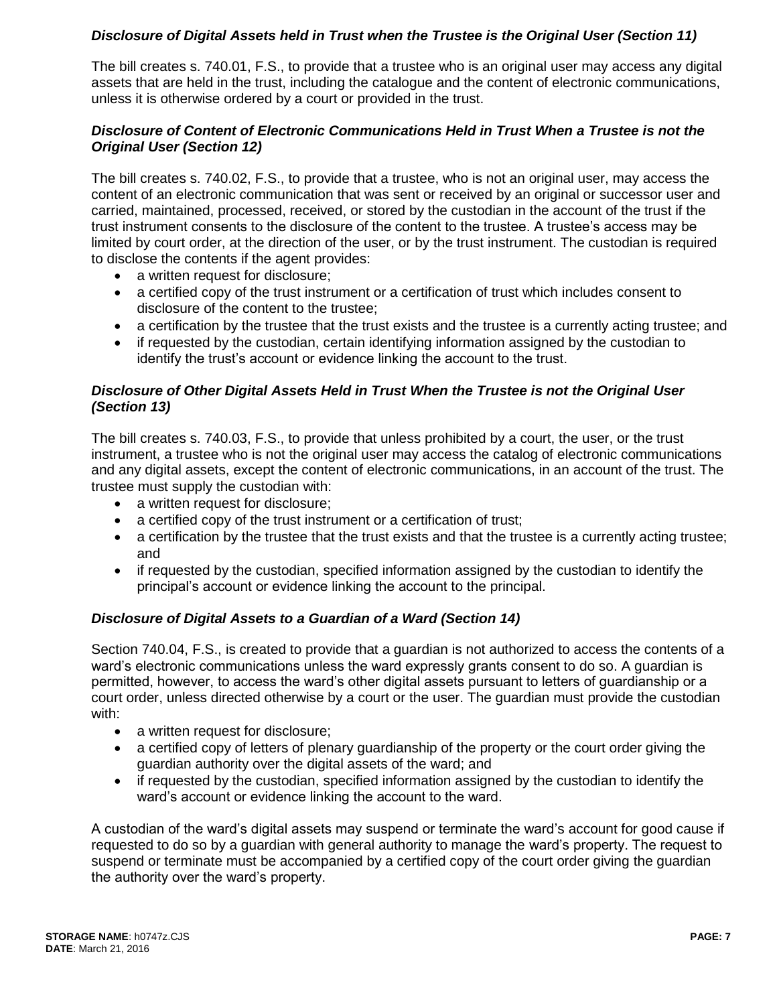## *Disclosure of Digital Assets held in Trust when the Trustee is the Original User (Section 11)*

The bill creates s. 740.01, F.S., to provide that a trustee who is an original user may access any digital assets that are held in the trust, including the catalogue and the content of electronic communications, unless it is otherwise ordered by a court or provided in the trust.

## *Disclosure of Content of Electronic Communications Held in Trust When a Trustee is not the Original User (Section 12)*

The bill creates s. 740.02, F.S., to provide that a trustee, who is not an original user, may access the content of an electronic communication that was sent or received by an original or successor user and carried, maintained, processed, received, or stored by the custodian in the account of the trust if the trust instrument consents to the disclosure of the content to the trustee. A trustee's access may be limited by court order, at the direction of the user, or by the trust instrument. The custodian is required to disclose the contents if the agent provides:

- a written request for disclosure;
- a certified copy of the trust instrument or a certification of trust which includes consent to disclosure of the content to the trustee;
- a certification by the trustee that the trust exists and the trustee is a currently acting trustee; and
- if requested by the custodian, certain identifying information assigned by the custodian to identify the trust's account or evidence linking the account to the trust.

## *Disclosure of Other Digital Assets Held in Trust When the Trustee is not the Original User (Section 13)*

The bill creates s. 740.03, F.S., to provide that unless prohibited by a court, the user, or the trust instrument, a trustee who is not the original user may access the catalog of electronic communications and any digital assets, except the content of electronic communications, in an account of the trust. The trustee must supply the custodian with:

- a written request for disclosure;
- a certified copy of the trust instrument or a certification of trust;
- a certification by the trustee that the trust exists and that the trustee is a currently acting trustee; and
- if requested by the custodian, specified information assigned by the custodian to identify the principal's account or evidence linking the account to the principal.

# *Disclosure of Digital Assets to a Guardian of a Ward (Section 14)*

Section 740.04, F.S., is created to provide that a guardian is not authorized to access the contents of a ward's electronic communications unless the ward expressly grants consent to do so. A guardian is permitted, however, to access the ward's other digital assets pursuant to letters of guardianship or a court order, unless directed otherwise by a court or the user. The guardian must provide the custodian with:

- a written request for disclosure;
- a certified copy of letters of plenary guardianship of the property or the court order giving the guardian authority over the digital assets of the ward; and
- if requested by the custodian, specified information assigned by the custodian to identify the ward's account or evidence linking the account to the ward.

A custodian of the ward's digital assets may suspend or terminate the ward's account for good cause if requested to do so by a guardian with general authority to manage the ward's property. The request to suspend or terminate must be accompanied by a certified copy of the court order giving the guardian the authority over the ward's property.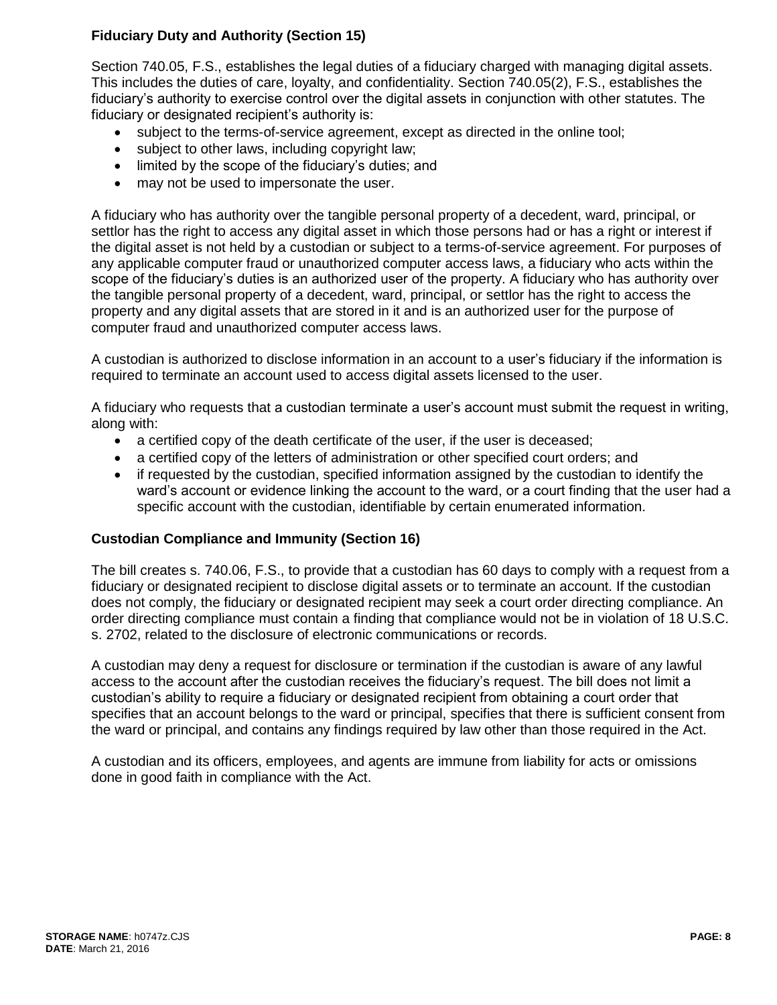# **Fiduciary Duty and Authority (Section 15)**

Section 740.05, F.S., establishes the legal duties of a fiduciary charged with managing digital assets. This includes the duties of care, loyalty, and confidentiality. Section 740.05(2), F.S., establishes the fiduciary's authority to exercise control over the digital assets in conjunction with other statutes. The fiduciary or designated recipient's authority is:

- subject to the terms-of-service agreement, except as directed in the online tool;
- subject to other laws, including copyright law;
- limited by the scope of the fiduciary's duties; and
- may not be used to impersonate the user.

A fiduciary who has authority over the tangible personal property of a decedent, ward, principal, or settlor has the right to access any digital asset in which those persons had or has a right or interest if the digital asset is not held by a custodian or subject to a terms-of-service agreement. For purposes of any applicable computer fraud or unauthorized computer access laws, a fiduciary who acts within the scope of the fiduciary's duties is an authorized user of the property. A fiduciary who has authority over the tangible personal property of a decedent, ward, principal, or settlor has the right to access the property and any digital assets that are stored in it and is an authorized user for the purpose of computer fraud and unauthorized computer access laws.

A custodian is authorized to disclose information in an account to a user's fiduciary if the information is required to terminate an account used to access digital assets licensed to the user.

A fiduciary who requests that a custodian terminate a user's account must submit the request in writing, along with:

- a certified copy of the death certificate of the user, if the user is deceased;
- a certified copy of the letters of administration or other specified court orders; and
- if requested by the custodian, specified information assigned by the custodian to identify the ward's account or evidence linking the account to the ward, or a court finding that the user had a specific account with the custodian, identifiable by certain enumerated information.

### **Custodian Compliance and Immunity (Section 16)**

The bill creates s. 740.06, F.S., to provide that a custodian has 60 days to comply with a request from a fiduciary or designated recipient to disclose digital assets or to terminate an account. If the custodian does not comply, the fiduciary or designated recipient may seek a court order directing compliance. An order directing compliance must contain a finding that compliance would not be in violation of 18 U.S.C. s. 2702, related to the disclosure of electronic communications or records.

A custodian may deny a request for disclosure or termination if the custodian is aware of any lawful access to the account after the custodian receives the fiduciary's request. The bill does not limit a custodian's ability to require a fiduciary or designated recipient from obtaining a court order that specifies that an account belongs to the ward or principal, specifies that there is sufficient consent from the ward or principal, and contains any findings required by law other than those required in the Act.

A custodian and its officers, employees, and agents are immune from liability for acts or omissions done in good faith in compliance with the Act.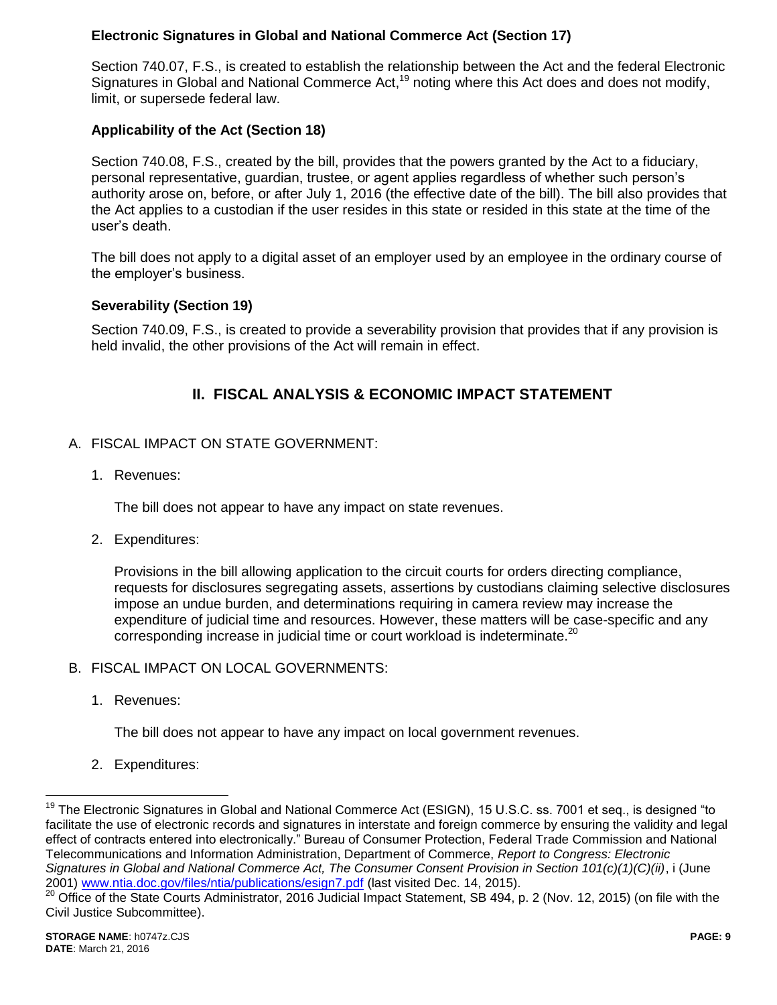# **Electronic Signatures in Global and National Commerce Act (Section 17)**

Section 740.07, F.S., is created to establish the relationship between the Act and the federal Electronic Signatures in Global and National Commerce Act,<sup>19</sup> noting where this Act does and does not modify, limit, or supersede federal law.

## **Applicability of the Act (Section 18)**

Section 740.08, F.S., created by the bill, provides that the powers granted by the Act to a fiduciary, personal representative, guardian, trustee, or agent applies regardless of whether such person's authority arose on, before, or after July 1, 2016 (the effective date of the bill). The bill also provides that the Act applies to a custodian if the user resides in this state or resided in this state at the time of the user's death.

The bill does not apply to a digital asset of an employer used by an employee in the ordinary course of the employer's business.

### **Severability (Section 19)**

Section 740.09, F.S., is created to provide a severability provision that provides that if any provision is held invalid, the other provisions of the Act will remain in effect.

# **II. FISCAL ANALYSIS & ECONOMIC IMPACT STATEMENT**

### A. FISCAL IMPACT ON STATE GOVERNMENT:

1. Revenues:

The bill does not appear to have any impact on state revenues.

2. Expenditures:

Provisions in the bill allowing application to the circuit courts for orders directing compliance, requests for disclosures segregating assets, assertions by custodians claiming selective disclosures impose an undue burden, and determinations requiring in camera review may increase the expenditure of judicial time and resources. However, these matters will be case-specific and any corresponding increase in judicial time or court workload is indeterminate.<sup>20</sup>

### B. FISCAL IMPACT ON LOCAL GOVERNMENTS:

1. Revenues:

The bill does not appear to have any impact on local government revenues.

2. Expenditures:

<sup>19</sup> The Electronic Signatures in Global and National Commerce Act (ESIGN), 15 U.S.C. ss. 7001 et seq., is designed "to facilitate the use of electronic records and signatures in interstate and foreign commerce by ensuring the validity and legal effect of contracts entered into electronically." Bureau of Consumer Protection, Federal Trade Commission and National Telecommunications and Information Administration, Department of Commerce, *Report to Congress: Electronic Signatures in Global and National Commerce Act, The Consumer Consent Provision in Section 101(c)(1)(C)(ii)*, i (June 2001) [www.ntia.doc.gov/files/ntia/publications/esign7.pdf](http://www.ntia.doc.gov/files/ntia/publications/esign7.pdf) (last visited Dec. 14, 2015).

<sup>20</sup> Office of the State Courts Administrator, 2016 Judicial Impact Statement, SB 494, p. 2 (Nov. 12, 2015) (on file with the Civil Justice Subcommittee).